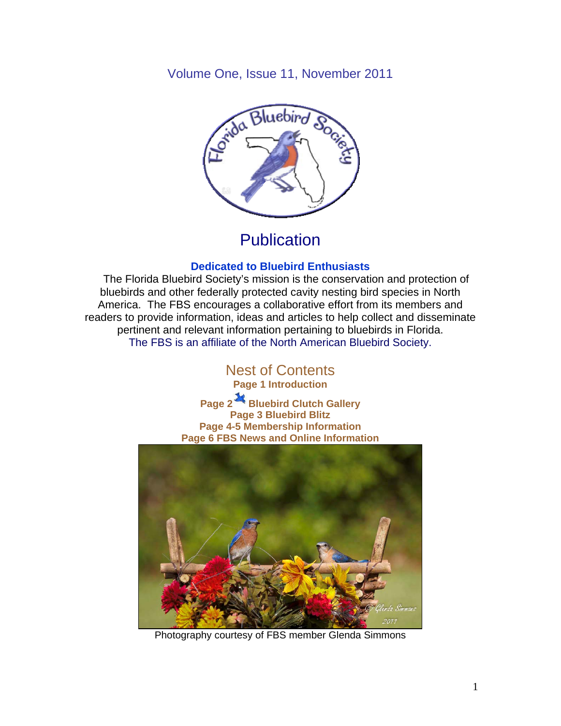Volume One, Issue 11, November 2011



## **Publication**

#### **Dedicated to Bluebird Enthusiasts**

 The Florida Bluebird Society's mission is the conservation and protection of bluebirds and other federally protected cavity nesting bird species in North America. The FBS encourages a collaborative effort from its members and readers to provide information, ideas and articles to help collect and disseminate pertinent and relevant information pertaining to bluebirds in Florida. The FBS is an affiliate of the North American Bluebird Society.

# Nest of Contents

**Page 1 Introduction** 

**Page 2 Bluebird Clutch Gallery Page 3 Bluebird Blitz Page 4-5 Membership Information Page 6 FBS News and Online Information** 



Photography courtesy of FBS member Glenda Simmons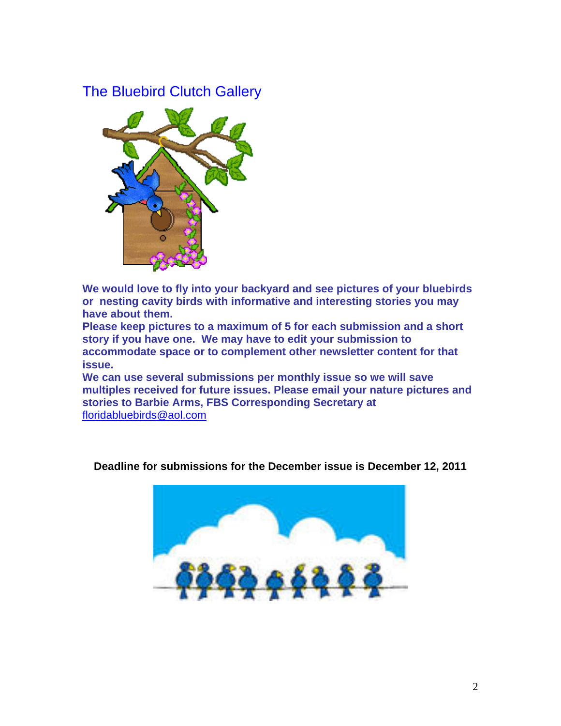### The Bluebird Clutch Gallery



**We would love to fly into your backyard and see pictures of your bluebirds or nesting cavity birds with informative and interesting stories you may have about them.** 

**Please keep pictures to a maximum of 5 for each submission and a short story if you have one. We may have to edit your submission to accommodate space or to complement other newsletter content for that issue.** 

**We can use several submissions per monthly issue so we will save multiples received for future issues. Please email your nature pictures and stories to Barbie Arms, FBS Corresponding Secretary at** floridabluebirds@aol.com



**Deadline for submissions for the December issue is December 12, 2011**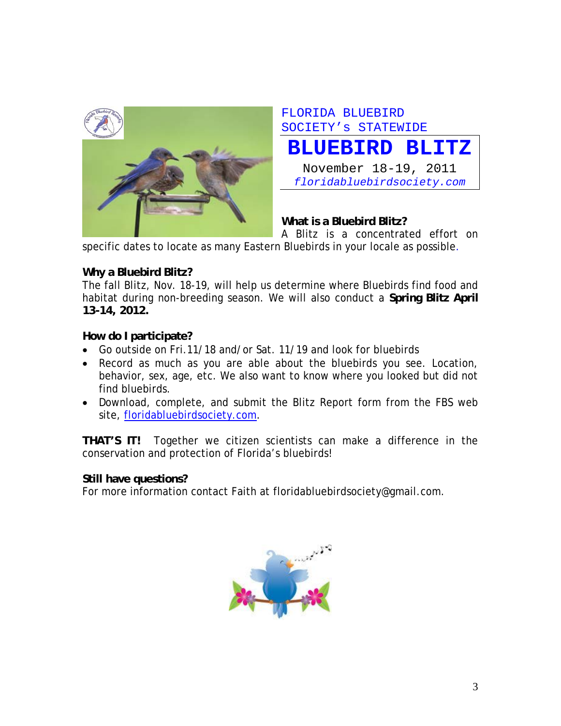

FLORIDA BLUEBIRD SOCIETY's STATEWIDE

**BLUEBIRD BLITZ**

November 18-19, 2011 *floridabluebirdsociety.com*

**What is a Bluebird Blitz?** 

A Blitz is a concentrated effort on

specific dates to locate as many Eastern Bluebirds in your locale as possible.

#### **Why a Bluebird Blitz?**

The fall Blitz, Nov. 18-19, will help us determine where Bluebirds find food and habitat during non-breeding season. We will also conduct a **Spring Blitz April 13-14, 2012.** 

#### **How do I participate?**

- Go outside on Fri.11/18 and/or Sat. 11/19 and look for bluebirds
- Record as much as you are able about the bluebirds you see. Location, behavior, sex, age, etc. We also want to know where you looked but did not find bluebirds.
- Download, complete, and submit the Blitz Report form from the FBS web site, floridabluebirdsociety.com.

**THAT'S IT!** Together we citizen scientists can make a difference in the conservation and protection of Florida's bluebirds!

#### **Still have questions?**

For more information contact Faith at floridabluebirdsociety@gmail.com.

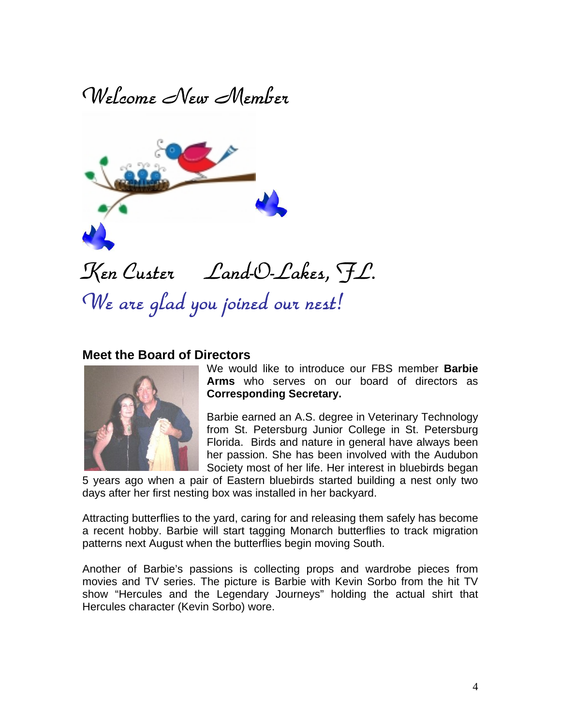Welcome New Member



#### **Meet the Board of Directors**



We would like to introduce our FBS member **Barbie Arms** who serves on our board of directors as **Corresponding Secretary.** 

Barbie earned an A.S. degree in Veterinary Technology from St. Petersburg Junior College in St. Petersburg Florida. Birds and nature in general have always been her passion. She has been involved with the Audubon Society most of her life. Her interest in bluebirds began

5 years ago when a pair of Eastern bluebirds started building a nest only two days after her first nesting box was installed in her backyard.

Attracting butterflies to the yard, caring for and releasing them safely has become a recent hobby. Barbie will start tagging Monarch butterflies to track migration patterns next August when the butterflies begin moving South.

Another of Barbie's passions is collecting props and wardrobe pieces from movies and TV series. The picture is Barbie with Kevin Sorbo from the hit TV show "Hercules and the Legendary Journeys" holding the actual shirt that Hercules character (Kevin Sorbo) wore.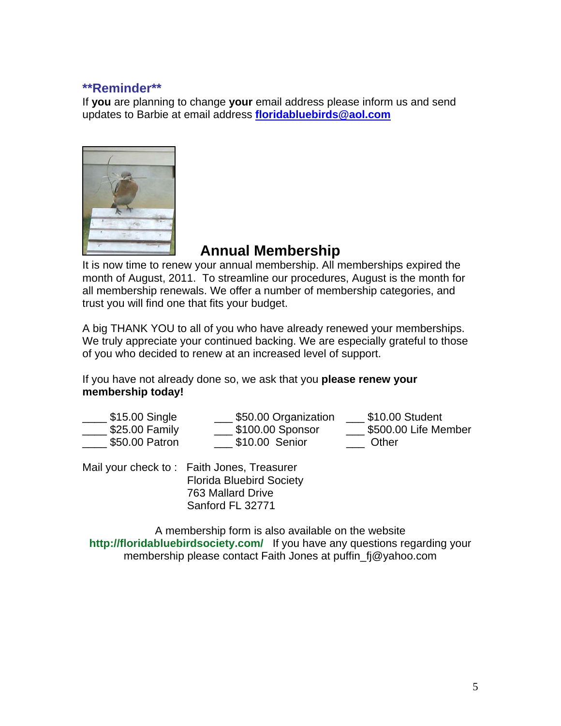#### **\*\*Reminder\*\***

If **you** are planning to change **your** email address please inform us and send updates to Barbie at email address **floridabluebirds@aol.com**



### **Annual Membership**

It is now time to renew your annual membership. All memberships expired the month of August, 2011. To streamline our procedures, August is the month for all membership renewals. We offer a number of membership categories, and trust you will find one that fits your budget.

A big THANK YOU to all of you who have already renewed your memberships. We truly appreciate your continued backing. We are especially grateful to those of you who decided to renew at an increased level of support.

If you have not already done so, we ask that you **please renew your membership today!**

| $$15.00$ Single | \$50.00 Organization | \$10.00 Student      |
|-----------------|----------------------|----------------------|
| \$25.00 Family  | \$100.00 Sponsor     | \$500.00 Life Member |
| \$50.00 Patron  | \$10.00 Senior       | Other                |

Mail your check to : Faith Jones, Treasurer Florida Bluebird Society 763 Mallard Drive Sanford FL 32771

A membership form is also available on the website **http://floridabluebirdsociety.com/** If you have any questions regarding your membership please contact Faith Jones at puffin\_fj@yahoo.com